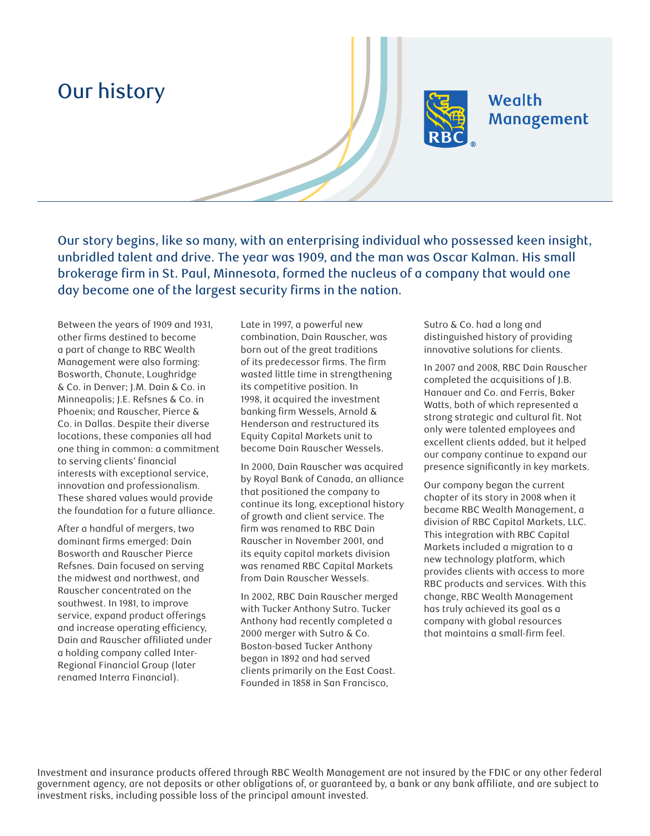## Our history



## Wealth Management

Our story begins, like so many, with an enterprising individual who possessed keen insight, unbridled talent and drive. The year was 1909, and the man was Oscar Kalman. His small brokerage firm in St. Paul, Minnesota, formed the nucleus of a company that would one day become one of the largest security firms in the nation.

Between the years of 1909 and 1931, other firms destined to become a part of change to RBC Wealth Management were also forming: Bosworth, Chanute, Loughridge & Co. in Denver; J.M. Dain & Co. in Minneapolis; J.E. Refsnes & Co. in Phoenix; and Rauscher, Pierce & Co. in Dallas. Despite their diverse locations, these companies all had one thing in common: a commitment to serving clients' financial interests with exceptional service, innovation and professionalism. These shared values would provide the foundation for a future alliance.

After a handful of mergers, two dominant firms emerged: Dain Bosworth and Rauscher Pierce Refsnes. Dain focused on serving the midwest and northwest, and Rauscher concentrated on the southwest. In 1981, to improve service, expand product offerings and increase operating efficiency, Dain and Rauscher affiliated under a holding company called Inter-Regional Financial Group (later renamed Interra Financial).

Late in 1997, a powerful new combination, Dain Rauscher, was born out of the great traditions of its predecessor firms. The firm wasted little time in strengthening its competitive position. In 1998, it acquired the investment banking firm Wessels, Arnold & Henderson and restructured its Equity Capital Markets unit to become Dain Rauscher Wessels.

In 2000, Dain Rauscher was acquired by Royal Bank of Canada, an alliance that positioned the company to continue its long, exceptional history of growth and client service. The firm was renamed to RBC Dain Rauscher in November 2001, and its equity capital markets division was renamed RBC Capital Markets from Dain Rauscher Wessels.

In 2002, RBC Dain Rauscher merged with Tucker Anthony Sutro. Tucker Anthony had recently completed a 2000 merger with Sutro & Co. Boston-based Tucker Anthony began in 1892 and had served clients primarily on the East Coast. Founded in 1858 in San Francisco,

Sutro & Co. had a long and distinguished history of providing innovative solutions for clients.

In 2007 and 2008, RBC Dain Rauscher completed the acquisitions of J.B. Hanauer and Co. and Ferris, Baker Watts, both of which represented a strong strategic and cultural fit. Not only were talented employees and excellent clients added, but it helped our company continue to expand our presence significantly in key markets.

Our company began the current chapter of its story in 2008 when it became RBC Wealth Management, a division of RBC Capital Markets, LLC. This integration with RBC Capital Markets included a migration to a new technology platform, which provides clients with access to more RBC products and services. With this change, RBC Wealth Management has truly achieved its goal as a company with global resources that maintains a small-firm feel.

Investment and insurance products offered through RBC Wealth Management are not insured by the FDIC or any other federal government agency, are not deposits or other obligations of, or guaranteed by, a bank or any bank affiliate, and are subject to investment risks, including possible loss of the principal amount invested.